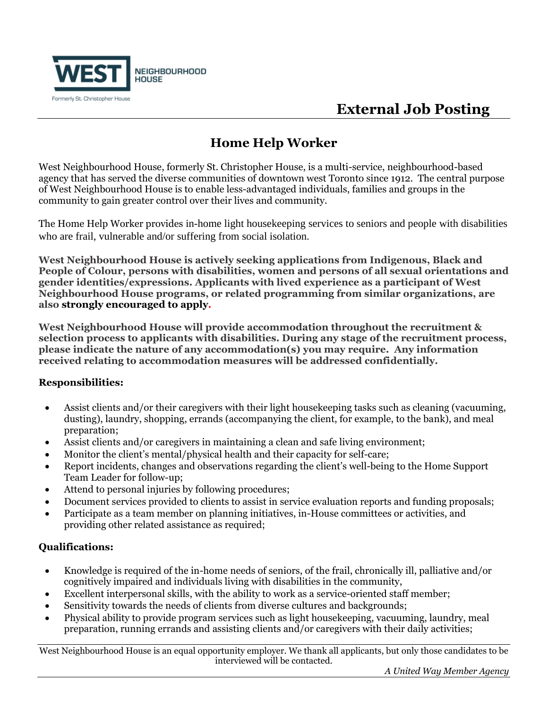

# **External Job Posting**

### **Home Help Worker**

West Neighbourhood House, formerly St. Christopher House, is a multi-service, neighbourhood-based agency that has served the diverse communities of downtown west Toronto since 1912. The central purpose of West Neighbourhood House is to enable less-advantaged individuals, families and groups in the community to gain greater control over their lives and community.

The Home Help Worker provides in-home light housekeeping services to seniors and people with disabilities who are frail, vulnerable and/or suffering from social isolation.

**West Neighbourhood House is actively seeking applications from Indigenous, Black and People of Colour, persons with disabilities, women and persons of all sexual orientations and gender identities/expressions. Applicants with lived experience as a participant of West Neighbourhood House programs, or related programming from similar organizations, are also strongly encouraged to apply.** 

**West Neighbourhood House will provide accommodation throughout the recruitment & selection process to applicants with disabilities. During any stage of the recruitment process, please indicate the nature of any accommodation(s) you may require. Any information received relating to accommodation measures will be addressed confidentially.**

### **Responsibilities:**

- Assist clients and/or their caregivers with their light housekeeping tasks such as cleaning (vacuuming, dusting), laundry, shopping, errands (accompanying the client, for example, to the bank), and meal preparation;
- Assist clients and/or caregivers in maintaining a clean and safe living environment;
- Monitor the client's mental/physical health and their capacity for self-care;
- Report incidents, changes and observations regarding the client's well-being to the Home Support Team Leader for follow-up;
- Attend to personal injuries by following procedures;
- Document services provided to clients to assist in service evaluation reports and funding proposals;
- Participate as a team member on planning initiatives, in-House committees or activities, and providing other related assistance as required;

### **Qualifications:**

- Knowledge is required of the in-home needs of seniors, of the frail, chronically ill, palliative and/or cognitively impaired and individuals living with disabilities in the community,
- Excellent interpersonal skills, with the ability to work as a service-oriented staff member;
- Sensitivity towards the needs of clients from diverse cultures and backgrounds;
- Physical ability to provide program services such as light housekeeping, vacuuming, laundry, meal preparation, running errands and assisting clients and/or caregivers with their daily activities;

West Neighbourhood House is an equal opportunity employer. We thank all applicants, but only those candidates to be interviewed will be contacted.